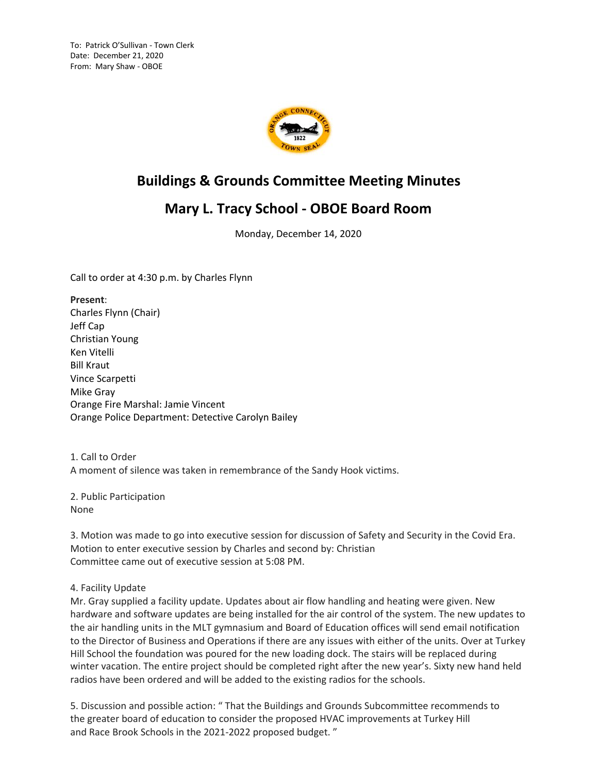To: Patrick O'Sullivan - Town Clerk Date: December 21, 2020 From: Mary Shaw - OBOE



## **Buildings & Grounds Committee Meeting Minutes**

## **Mary L. Tracy School - OBOE Board Room**

Monday, December 14, 2020

Call to order at 4:30 p.m. by Charles Flynn

**Present**: Charles Flynn (Chair) Jeff Cap Christian Young Ken Vitelli Bill Kraut Vince Scarpetti Mike Gray Orange Fire Marshal: Jamie Vincent Orange Police Department: Detective Carolyn Bailey

1. Call to Order A moment of silence was taken in remembrance of the Sandy Hook victims.

2. Public Participation None

3. Motion was made to go into executive session for discussion of Safety and Security in the Covid Era. Motion to enter executive session by Charles and second by: Christian Committee came out of executive session at 5:08 PM.

## 4. Facility Update

Mr. Gray supplied a facility update. Updates about air flow handling and heating were given. New hardware and software updates are being installed for the air control of the system. The new updates to the air handling units in the MLT gymnasium and Board of Education offices will send email notification to the Director of Business and Operations if there are any issues with either of the units. Over at Turkey Hill School the foundation was poured for the new loading dock. The stairs will be replaced during winter vacation. The entire project should be completed right after the new year's. Sixty new hand held radios have been ordered and will be added to the existing radios for the schools.

5. Discussion and possible action: " That the Buildings and Grounds Subcommittee recommends to the greater board of education to consider the proposed HVAC improvements at Turkey Hill and Race Brook Schools in the 2021-2022 proposed budget. "